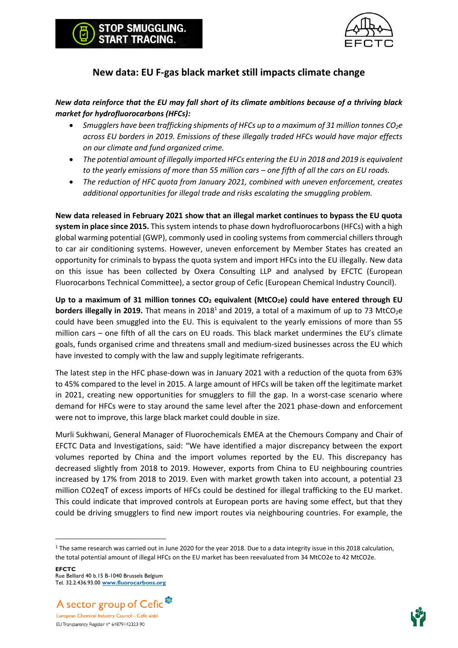



### **New data: EU F-gas black market still impacts climate change**

#### *New data reinforce that the EU may fall short of its climate ambitions because of a thriving black market for hydrofluorocarbons (HFCs):*

- *Smugglers have been trafficking shipments of HFCs up to a maximum of 31 million tonnes CO2e across EU borders in 2019. Emissions of these illegally traded HFCs would have major effects on our climate and fund organized crime.*
- *The potential amount of illegally imported HFCs entering the EU in 2018 and 2019 is equivalent to the yearly emissions of more than 55 million cars – one fifth of all the cars on EU roads.*
- *The reduction of HFC quota from January 2021, combined with uneven enforcement, creates additional opportunities for illegal trade and risks escalating the smuggling problem.*

**New data released in February 2021 show that an illegal market continues to bypass the EU quota system in place since 2015.** This system intends to phase down hydrofluorocarbons (HFCs) with a high global warming potential (GWP), commonly used in cooling systems from commercial chillers through to car air conditioning systems. However, uneven enforcement by Member States has created an opportunity for criminals to bypass the quota system and import HFCs into the EU illegally. New data on this issue has been collected by Oxera Consulting LLP and analysed by EFCTC (European Fluorocarbons Technical Committee), a sector group of Cefic (European Chemical Industry Council).

**Up to a maximum of 31 million tonnes CO<sup>2</sup> equivalent (MtCO2e) could have entered through EU borders illegally in 2019.** That means in 2018<sup>1</sup> and 2019, a total of a maximum of up to 73 MtCO<sub>2</sub>e could have been smuggled into the EU. This is equivalent to the yearly emissions of more than 55 million cars – one fifth of all the cars on EU roads. This black market undermines the EU's climate goals, funds organised crime and threatens small and medium-sized businesses across the EU which have invested to comply with the law and supply legitimate refrigerants.

The latest step in the HFC phase-down was in January 2021 with a reduction of the quota from 63% to 45% compared to the level in 2015. A large amount of HFCs will be taken off the legitimate market in 2021, creating new opportunities for smugglers to fill the gap. In a worst-case scenario where demand for HFCs were to stay around the same level after the 2021 phase-down and enforcement were not to improve, this large black market could double in size.

Murli Sukhwani, General Manager of Fluorochemicals EMEA at the Chemours Company and Chair of EFCTC Data and Investigations, said: "We have identified a major discrepancy between the export volumes reported by China and the import volumes reported by the EU. This discrepancy has decreased slightly from 2018 to 2019. However, exports from China to EU neighbouring countries increased by 17% from 2018 to 2019. Even with market growth taken into account, a potential 23 million CO2eqT of excess imports of HFCs could be destined for illegal trafficking to the EU market. This could indicate that improved controls at European ports are having some effect, but that they could be driving smugglers to find new import routes via neighbouring countries. For example, the

**EFCTC** Rue Belliard 40 b.15 B-1040 Brussels Belgium Tel. 32.2.436.93.00 **[www.fluorocarbons.org](http://www.fluorocarbons.org/)**





<sup>&</sup>lt;sup>1</sup> The same research was carried out in June 2020 for the year 2018. Due to a data integrity issue in this 2018 calculation, the total potential amount of illegal HFCs on the EU market has been reevaluated from 34 MtCO2e to 42 MtCO2e.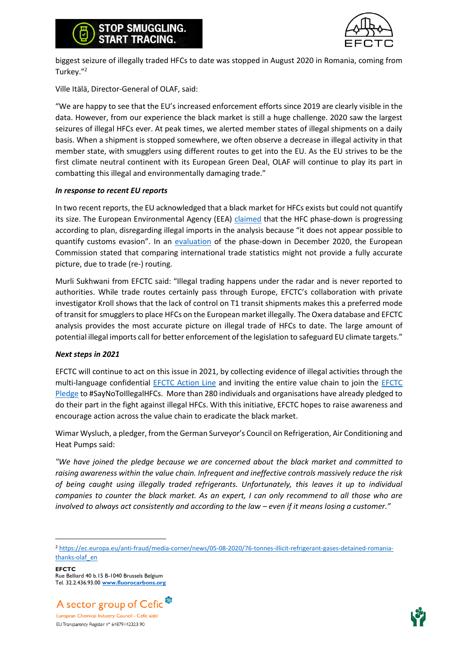



biggest seizure of illegally traded HFCs to date was stopped in August 2020 in Romania, coming from Turkey."<sup>2</sup>

Ville Itälä, Director-General of OLAF, said:

"We are happy to see that the EU's increased enforcement efforts since 2019 are clearly visible in the data. However, from our experience the black market is still a huge challenge. 2020 saw the largest seizures of illegal HFCs ever. At peak times, we alerted member states of illegal shipments on a daily basis. When a shipment is stopped somewhere, we often observe a decrease in illegal activity in that member state, with smugglers using different routes to get into the EU. As the EU strives to be the first climate neutral continent with its European Green Deal, OLAF will continue to play its part in combatting this illegal and environmentally damaging trade."

#### *In response to recent EU reports*

In two recent reports, the EU acknowledged that a black market for HFCs exists but could not quantify its size. The European Environmental Agency (EEA) [claimed](https://www.eea.europa.eu/highlights/use-of-climate-warming-fluorinated) that the HFC phase-down is progressing according to plan, disregarding illegal imports in the analysis because "it does not appear possible to quantify customs evasion". In an [evaluation](https://ec.europa.eu/clima/sites/clima/files/f-gas/docs/20201216_c_2020_8842_en.pdf) of the phase-down in December 2020, the European Commission stated that comparing international trade statistics might not provide a fully accurate picture, due to trade (re-) routing.

Murli Sukhwani from EFCTC said: "Illegal trading happens under the radar and is never reported to authorities. While trade routes certainly pass through Europe, EFCTC's collaboration with private investigator Kroll shows that the lack of control on T1 transit shipments makes this a preferred mode of transit for smugglers to place HFCs on the European market illegally. The Oxera database and EFCTC analysis provides the most accurate picture on illegal trade of HFCs to date. The large amount of potential illegal imports call for better enforcement of the legislation to safeguard EU climate targets."

#### *Next steps in 2021*

EFCTC will continue to act on this issue in 2021, by collecting evidence of illegal activities through the multi-language confidential **EFCTC** Action Line and inviting the entire value chain to join the **EFCTC** [Pledge](https://stopillegalcooling.eu/pledge/) to #SayNoToIllegalHFCs. More than 280 individuals and organisations have already pledged to do their part in the fight against illegal HFCs. With this initiative, EFCTC hopes to raise awareness and encourage action across the value chain to eradicate the black market.

Wimar Wysluch, a pledger, from the German Surveyor's Council on Refrigeration, Air Conditioning and Heat Pumps said:

*"We have joined the pledge because we are concerned about the black market and committed to raising awareness within the value chain. Infrequent and ineffective controls massively reduce the risk of being caught using illegally traded refrigerants. Unfortunately, this leaves it up to individual companies to counter the black market. As an expert, I can only recommend to all those who are involved to always act consistently and according to the law – even if it means losing a customer."* 

**EFCTC** Rue Belliard 40 b.15 B-1040 Brussels Belgium Tel. 32.2.436.93.00 **[www.fluorocarbons.org](http://www.fluorocarbons.org/)**





<sup>2</sup> [https://ec.europa.eu/anti-fraud/media-corner/news/05-08-2020/76-tonnes-illicit-refrigerant-gases-detained-romania](https://ec.europa.eu/anti-fraud/media-corner/news/05-08-2020/76-tonnes-illicit-refrigerant-gases-detained-romania-thanks-olaf_en)[thanks-olaf\\_en](https://ec.europa.eu/anti-fraud/media-corner/news/05-08-2020/76-tonnes-illicit-refrigerant-gases-detained-romania-thanks-olaf_en)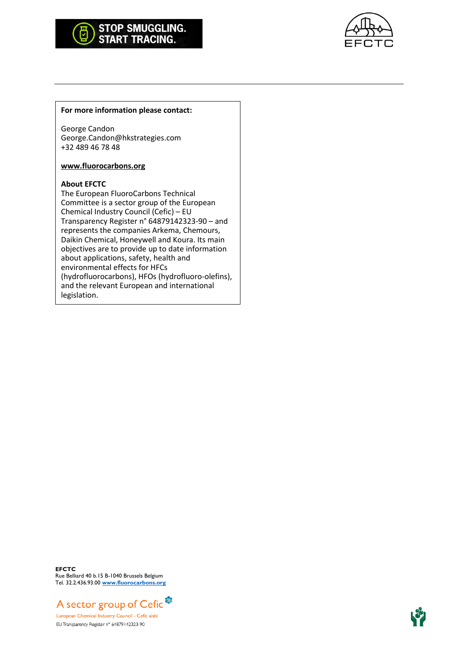# STOP SMUGGLING.<br>START TRACING.



#### **For more information please contact:**

George Candon George.Candon@hkstrategies.com +32 489 46 78 48

#### **[www.fluorocarbons.org](http://www.fluorocarbons.org/)**

#### **About EFCTC**

The European FluoroCarbons Technical Committee is a sector group of the European Chemical Industry Council (Cefic) – EU Transparency Register n° 64879142323-90 – and represents the companies Arkema, Chemours, Daikin Chemical, Honeywell and Koura. Its main objectives are to provide up to date information about applications, safety, health and environmental effects for HFCs (hydrofluorocarbons), HFOs (hydrofluoro-olefins), and the relevant European and international legislation.

**EFCTC** Rue Belliard 40 b.15 B-1040 Brussels Belgium Tel. 32.2.436.93.00 **[www.fluorocarbons.org](http://www.fluorocarbons.org/)**



EU Transparency Register n° 64879142323-90

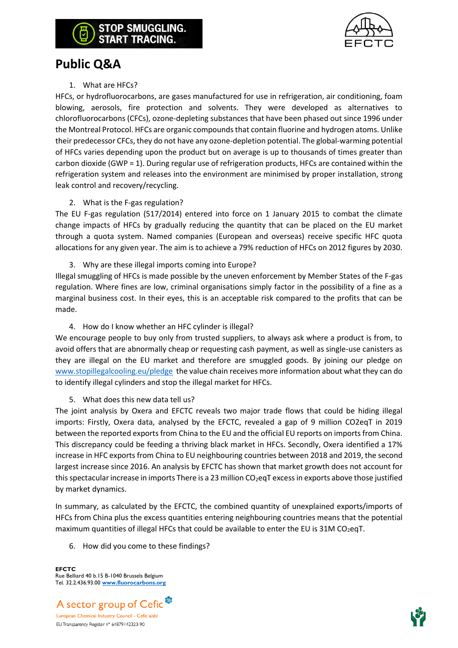

# **Public Q&A**

#### 1. What are HFCs?

HFCs, or hydrofluorocarbons, are gases manufactured for use in refrigeration, air conditioning, foam blowing, aerosols, fire protection and solvents. They were developed as alternatives to chlorofluorocarbons (CFCs), ozone-depleting substances that have been phased out since 1996 under the Montreal Protocol. HFCs are organic compounds that contain fluorine and hydrogen atoms. Unlike their predecessor CFCs, they do not have any ozone-depletion potential. The global-warming potential of HFCs varies depending upon the product but on average is up to thousands of times greater than carbon dioxide (GWP = 1). During regular use of refrigeration products, HFCs are contained within the refrigeration system and releases into the environment are minimised by proper installation, strong leak control and recovery/recycling.

#### 2. What is the F-gas regulation?

The EU F-gas regulation (517/2014) entered into force on 1 January 2015 to combat the climate change impacts of HFCs by gradually reducing the quantity that can be placed on the EU market through a quota system. Named companies (European and overseas) receive specific HFC quota allocations for any given year. The aim is to achieve a 79% reduction of HFCs on 2012 figures by 2030.

3. Why are these illegal imports coming into Europe?

Illegal smuggling of HFCs is made possible by the uneven enforcement by Member States of the F-gas regulation. Where fines are low, criminal organisations simply factor in the possibility of a fine as a marginal business cost. In their eyes, this is an acceptable risk compared to the profits that can be made.

4. How do I know whether an HFC cylinder is illegal?

We encourage people to buy only from trusted suppliers, to always ask where a product is from, to avoid offers that are abnormally cheap or requesting cash payment, as well as single-use canisters as they are illegal on the EU market and therefore are smuggled goods. By joining our pledge on [www.stopillegalcooling.eu/pledge](http://www.stopillegalcooling.eu/pledge) the value chain receives more information about what they can do to identify illegal cylinders and stop the illegal market for HFCs.

#### 5. What does this new data tell us?

The joint analysis by Oxera and EFCTC reveals two major trade flows that could be hiding illegal imports: Firstly, Oxera data, analysed by the EFCTC, revealed a gap of 9 million CO2eqT in 2019 between the reported exports from China to the EU and the official EU reports on imports from China. This discrepancy could be feeding a thriving black market in HFCs. Secondly, Oxera identified a 17% increase in HFC exports from China to EU neighbouring countries between 2018 and 2019, the second largest increase since 2016. An analysis by EFCTC has shown that market growth does not account for this spectacular increase in imports There is a 23 million  $CO_2$ eqT excess in exports above those justified by market dynamics.

In summary, as calculated by the EFCTC, the combined quantity of unexplained exports/imports of HFCs from China plus the excess quantities entering neighbouring countries means that the potential maximum quantities of illegal HFCs that could be available to enter the EU is  $31M CO<sub>2</sub>$ eqT.

6. How did you come to these findings?

**EFCTC** Rue Belliard 40 b.15 B-1040 Brussels Belgium Tel. 32.2.436.93.00 **[www.fluorocarbons.org](http://www.fluorocarbons.org/)**

![](_page_3_Picture_16.jpeg)

![](_page_3_Picture_17.jpeg)